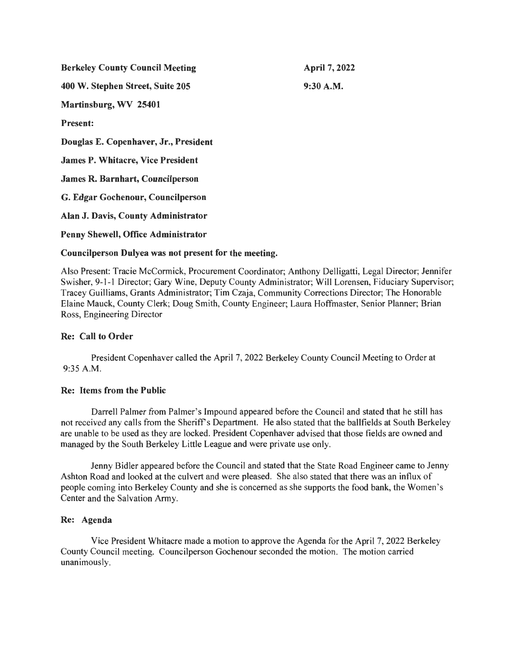| <b>Berkeley County Council Meeting</b>   | April 7, 2022 |
|------------------------------------------|---------------|
| 400 W. Stephen Street, Suite 205         | $9:30$ A.M.   |
| Martinsburg, WV 25401                    |               |
| <b>Present:</b>                          |               |
| Douglas E. Copenhaver, Jr., President    |               |
| <b>James P. Whitacre, Vice President</b> |               |
| <b>James R. Barnhart, Councilperson</b>  |               |
| G. Edgar Gochenour, Councilperson        |               |
| Alan J. Davis, County Administrator      |               |
| Penny Shewell, Office Administrator      |               |

# Councilperson Dulyea was not present for the meeting.

Also Present: Tracie McCormick, Procurement Coordinator; Anthony Delligatti, Legal Director; Jennifer Swisher, 9-1-1 Director; Gary Wine, Deputy County Administrator; Will Lorensen, Fiduciary Supervisor; Tracey Guilliams, Grants Administrator; Tim Czaja, Community Corrections Director; The Honorable Elaine Mauck, County Clerk; Doug Smith, County Engineer; Laura Hoffmaster, Senior Planner; Brian Ross, Engineering Director

# Re: Call to Order

President Copenhaver called the April 7, 2022 Berkeley County Council Meeting to Order at 9:35 A.M.

# Re: Items from the Public

Darrell Palmer from Palmer's Impound appeared before the Council and stated that he still has not received any calls from the Sheriff's Department. He also stated that the ballfields at South Berkeley are unable to be used as they are locked. President Copenhaver advised that those fields are owned and managed by the South Berkeley Little League and were private use only.

Jenny Bidler appeared before the Council and stated that the State Road Engineer came to Jenny Ashton Road and looked at the culvert and were pleased. She also stated that there was an influx of people coming into Berkeley County and she is concerned as she supports the food bank, the Women 's Center and the Salvation Army.

# Re: Agenda

Vice President Whitacre made a motion to approve the Agenda for the April 7, 2022 Berkeley County Council meeting. Councilperson Gochenour seconded the motion. The motion carried unanimously.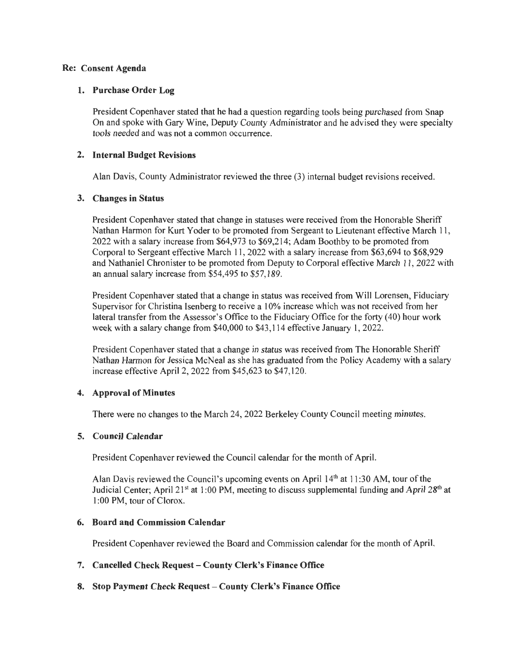### **Re: Consent Agenda**

#### **1. Purchase Order Log**

President Copenhaver stated that he had a question regarding tools being purchased from Snap On and spoke with Gary Wine, Deputy County Administrator and he advised they were specialty tools needed and was not a common occurrence.

#### **2. Internal Budget Revisions**

Alan Davis, County Administrator reviewed the three (3) internal budget revisions received.

#### **3. Changes in Status**

President Copenhaver stated that change in statuses were received from the Honorable Sheriff Nathan Harmon for Kurt Yoder to be promoted from Sergeant to Lieutenant effective March 11 , 2022 with a salary increase from \$64,973 to \$69,214; Adam Boothby to be promoted from Corporal to Sergeant effective March 11, 2022 with a salary increase from \$63 ,694 to \$68,929 and Nathaniel Chronister to be promoted from Deputy to Corporal effective March 11 , 2022 with an annual salary increase from \$54,495 to \$57,189.

President Copenhaver stated that a change in status was received from Will Lorensen, Fiduciary Supervisor for Christina Isenberg to receive a 10% increase which was not received from her lateral transfer from the Assessor's Office to the Fiduciary Office for the forty (40) hour work week with a salary change from \$40,000 to \$43 ,114 effective January 1, 2022.

President Copenhaver stated that a change in status was received from The Honorable Sheriff Nathan Harmon for Jessica McNeal as she has graduated from the Policy Academy with a salary increase effective April 2, 2022 from \$45,623 to \$47, 120.

# **4. Approval of Minutes**

There were no changes to the March 24, 2022 Berkeley County Council meeting minutes.

# **5. Council Calendar**

President Copenhaver reviewed the Council calendar for the month of April.

Alan Davis reviewed the Council's upcoming events on April  $14<sup>th</sup>$  at 11:30 AM, tour of the Judicial Center; April 21<sup>st</sup> at 1:00 PM, meeting to discuss supplemental funding and April 28<sup>th</sup> at 1 :00 PM, tour of Clorox.

#### **6. Board and Commission Calendar**

President Copenhaver reviewed the Board and Commission calendar for the month of April.

#### **7. Cancelled Check Request- County Clerk's Finance Office**

**8. Stop Payment Check Request - County Clerk's Finance Office**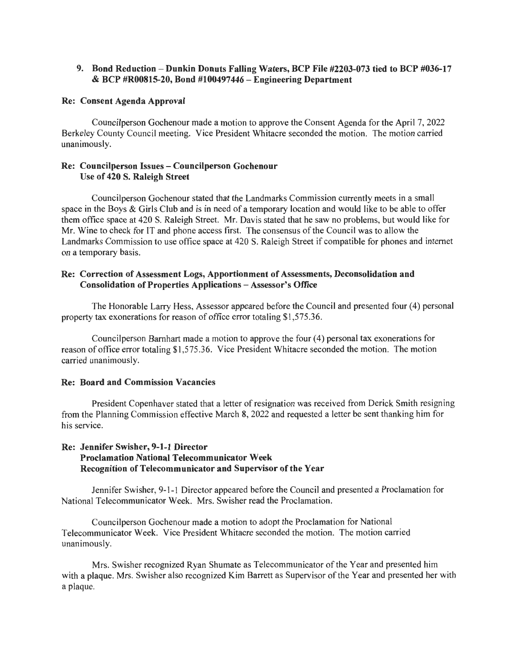# 9. Bond Reduction -Dunkin Donuts Falling Waters, BCP File #2203-073 tied to BCP #036-17 & BCP #R00815-20, Bond #100497446 -Engineering Department

#### Re: Consent Agenda Approval

Councilperson Gochenour made a motion to approve the Consent Agenda for the April 7, 2022 Berkeley County Council meeting. Vice President Whitacre seconded the motion. The motion carried unanimously.

#### Re: Councilperson Issues - Councilperson Gochenour Use of 420 S. Raleigh Street

Councilperson Gochenour stated that the Landmarks Commission currently meets in a small space in the Boys & Girls Club and is in need of a temporary location and would like to be able to offer them office space at 420 S. Raleigh Street. Mr. Davis stated that he saw no problems, but would like for Mr. Wine to check for IT and phone access first. The consensus of the Council was to allow the Landmarks Commission to use office space at 420 S. Raleigh Street if compatible for phones and internet on a temporary basis.

### Re: Correction of Assessment Logs, Apportionment of Assessments, Deconsolidation and Consolidation of Properties Applications - Assessor's Office

The Honorable Larry Hess, Assessor appeared before the Council and presented four (4) personal property tax exonerations for reason of office error totaling \$1 ,575.36.

Councilperson Barnhart made a motion to approve the four (4) personal tax exonerations for reason of office error totaling \$1 ,575.36. Vice President Whitacre seconded the motion. The motion carried unanimously.

# Re: Board and Commission Vacancies

President Copenhaver stated that a letter of resignation was received from Derick Smith resigning from the Planning Commission effective March 8, 2022 and requested a letter be sent thanking him for his service.

# Re: Jennifer Swisher, 9-1-1 Director Proclamation National Telecommunicator Week Recognition of Telecommunicator and Supervisor of the Year

Jennifer Swisher, 9-1-1 Director appeared before the Council and presented a Proclamation for National Telecommunicator Week. Mrs. Swisher read the Proclamation.

Councilperson Gochenour made a motion to adopt the Proclamation for National Telecommunicator Week. Vice President Whitacre seconded the motion. The motion carried unanimously.

Mrs. Swisher recognized Ryan Shumate as Telecommunicator of the Year and presented him with a plaque. Mrs. Swisher also recognized Kim Barrett as Supervisor of the Year and presented her with a plaque.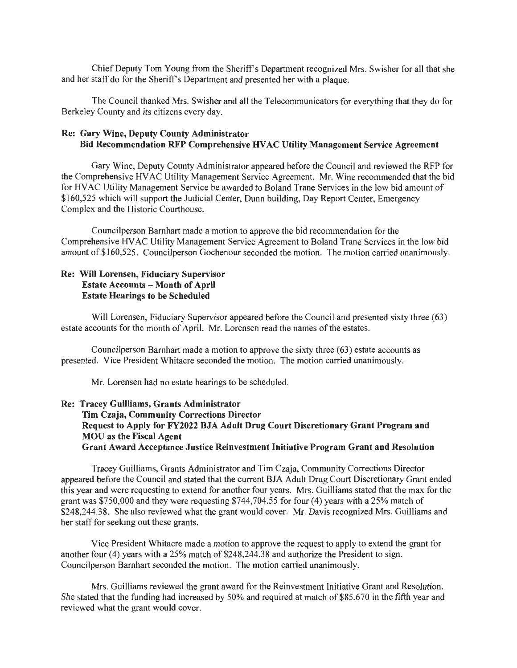Chief Deputy Tom Young from the Sheriff's Department recognized Mrs. Swisher for all that she and her staff do for the Sheriff's Department and presented her with a plaque.

The Council thanked Mrs. Swisher and all the Telecommunicators for everything that they do for Berkeley County and its citizens every day.

# Re: Gary Wine, Deputy County Administrator Bid Recommendation RFP Comprehensive HV AC Utility Management Service Agreement

Gary Wine, Deputy County Administrator appeared before the Council and reviewed the RFP for the Comprehensive HV AC Utility Management Service Agreement. Mr. Wine recommended that the bid for HV AC Utility Management Service be awarded to Boland Trane Services in the low bid amount of \$160,525 which will support the Judicial Center, Dunn building, Day Report Center, Emergency Complex and the Historic Courthouse.

Councilperson Barnhart made a motion to approve the bid recommendation for the Comprehensive HY AC Utility Management Service Agreement to Boland Trane Services in the low bid amount of \$160,525. Councilperson Gochenour seconded the motion. The motion carried unanimously.

# Re: Will Lorensen, Fiduciary Supervisor Estate Accounts - Month of April Estate Hearings to be Scheduled

Will Lorensen, Fiduciary Supervisor appeared before the Council and presented sixty three (63) estate accounts for the month of April. Mr. Lorensen read the names of the estates.

Councilperson Barnhart made a motion to approve the sixty three (63) estate accounts as presented. Vice President Whitacre seconded the motion. The motion carried unanimously.

Mr. Lorensen had no estate hearings to be scheduled.

# Re: Tracey Guilliams, Grants Administrator Tim Czaja, Community Corrections Director Request to Apply for FY2022 BJA Adult Drug Court Discretionary Grant Program and MOU as the Fiscal Agent Grant Award Acceptance Justice Reinvestment Initiative Program Grant and Resolution

Tracey Guilliams, Grants Administrator and Tim Czaja, Community Corrections Director appeared before the Council and stated that the current BJA Adult Drug Court Discretionary Grant ended this year and were requesting to extend for another four years. Mrs. Guilliams stated that the max for the grant was \$750,000 and they were requesting \$744,704.55 for four (4) years with a 25% match of \$248,244.38. She also reviewed what the grant would cover. Mr. Davis recognized Mrs. Guilliams and her staff for seeking out these grants.

Vice President Whitacre made a motion to approve the request to apply to extend the grant for another four (4) years with a 25% match of \$248,244.38 and authorize the President to sign. Councilperson Barnhart seconded the motion. The motion carried unanimously.

Mrs. Guilliams reviewed the grant award for the Reinvestment Initiative Grant and Resolution. She stated that the funding had increased by 50% and required at match of \$85,670 in the fifth year and reviewed what the grant would cover.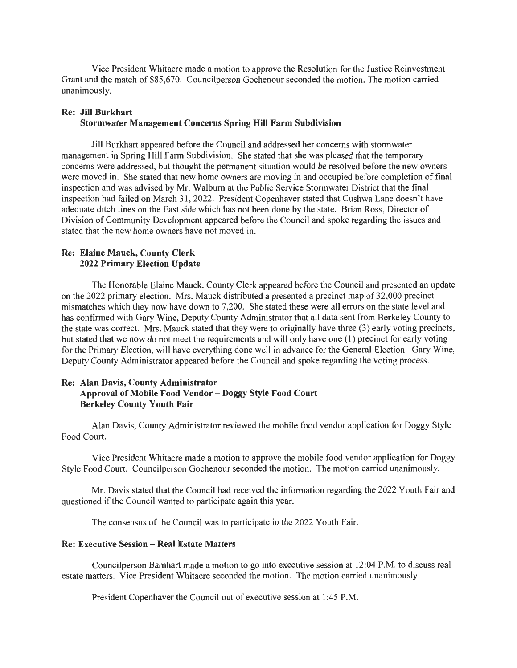Vice President Whitacre made a motion to approve the Resolution for the Justice Reinvestment Grant and the match of \$85,670. Councilperson Gochenour seconded the motion. The motion carried unanimously.

# Re: Jill Burkhart

# Stormwater Management Concerns Spring Hill Farm Subdivision

Jill Burkhart appeared before the Council and addressed her concerns with stormwater management in Spring Hill Farm Subdivision. She stated that she was pleased that the temporary concerns were addressed, but thought the permanent situation would be resolved before the new owners were moved in. She stated that new home owners are moving in and occupied before completion of final inspection and was advised by Mr. Walburn at the Public Service Stormwater District that the final inspection had failed on March 31, 2022. President Copenhaver stated that Cushwa Lane doesn't have adequate ditch lines on the East side which has not been done by the state. Brian Ross, Director of Division of Community Development appeared before the Council and spoke regarding the issues and stated that the new home owners have not moved in.

### Re: Elaine Mauck, County Clerk 2022 Primary Election Update

The Honorable Elaine Mauck. County Clerk appeared before the Council and presented an update on the 2022 primary election. Mrs. Mauck distributed a presented a precinct map of 32,000 precinct mismatches which they now have down to 7,200. She stated these were all errors on the state level and has confirmed with Gary Wine, Deputy County Administrator that all data sent from Berkeley County to the state was correct. Mrs. Mauck stated that they were to originally have three (3) early voting precincts, but stated that we now do not meet the requirements and will only have one (I) precinct for early voting for the Primary Election, will have everything done well in advance for the General Election. Gary Wine, Deputy County Administrator appeared before the Council and spoke regarding the voting process.

# Re: Alan Davis, County Administrator Approval of Mobile Food Vendor - Doggy Style Food Court Berkeley County Youth Fair

Alan Davis, County Administrator reviewed the mobile food vendor application for Doggy Style Food Court.

Vice President Whitacre made a motion to approve the mobile food vendor application for Doggy Style Food Court. Councilperson Gochenour seconded the motion. The motion carried unanimously.

Mr. Davis stated that the Council had received the information regarding the 2022 Youth Fair and questioned if the Council wanted to participate again this year.

The consensus of the Council was to participate in the 2022 Youth Fair.

### Re: Executive Session - Real Estate Matters

Councilperson Barnhart made a motion to go into executive session at 12:04 P.M. to discuss real estate matters. Vice President Whitacre seconded the motion. The motion carried unanimously.

President Copenhaver the Council out of executive session at I :45 P.M.